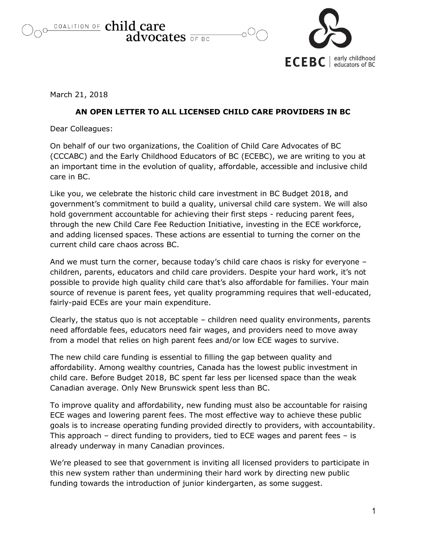COALITION OF child care advocates  $\overline{\circ}$ F BC



March 21, 2018

## **AN OPEN LETTER TO ALL LICENSED CHILD CARE PROVIDERS IN BC**

Dear Colleagues:

On behalf of our two organizations, the Coalition of Child Care Advocates of BC (CCCABC) and the Early Childhood Educators of BC (ECEBC), we are writing to you at an important time in the evolution of quality, affordable, accessible and inclusive child care in BC.

Like you, we celebrate the historic child care investment in BC Budget 2018, and government's commitment to build a quality, universal child care system. We will also hold government accountable for achieving their first steps - reducing parent fees, through the new Child Care Fee Reduction Initiative, investing in the ECE workforce, and adding licensed spaces. These actions are essential to turning the corner on the current child care chaos across BC.

And we must turn the corner, because today's child care chaos is risky for everyone – children, parents, educators and child care providers. Despite your hard work, it's not possible to provide high quality child care that's also affordable for families. Your main source of revenue is parent fees, yet quality programming requires that well-educated, fairly-paid ECEs are your main expenditure.

Clearly, the status quo is not acceptable – children need quality environments, parents need affordable fees, educators need fair wages, and providers need to move away from a model that relies on high parent fees and/or low ECE wages to survive.

The new child care funding is essential to filling the gap between quality and affordability. Among wealthy countries, Canada has the lowest public investment in child care. Before Budget 2018, BC spent far less per licensed space than the weak Canadian average. Only New Brunswick spent less than BC.

To improve quality and affordability, new funding must also be accountable for raising ECE wages and lowering parent fees. The most effective way to achieve these public goals is to increase operating funding provided directly to providers, with accountability. This approach – direct funding to providers, tied to ECE wages and parent fees – is already underway in many Canadian provinces.

We're pleased to see that government is inviting all licensed providers to participate in this new system rather than undermining their hard work by directing new public funding towards the introduction of junior kindergarten, as some suggest.